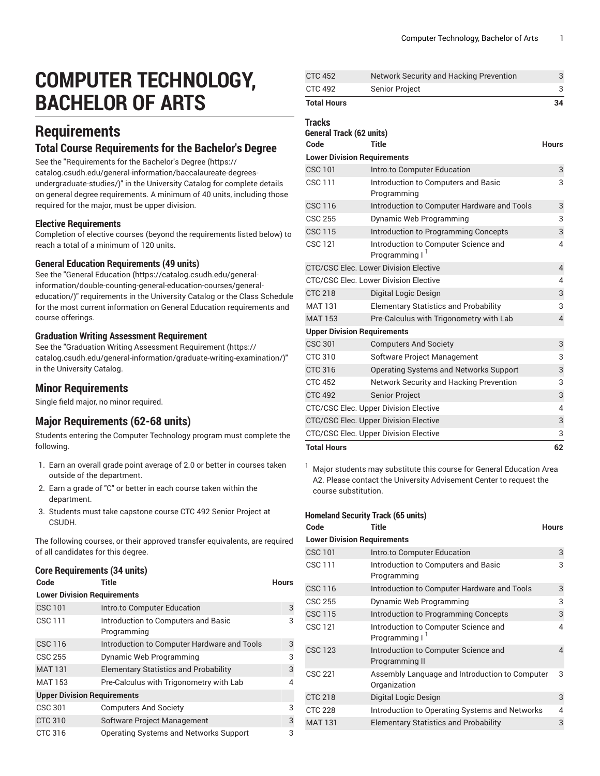# **COMPUTER TECHNOLOGY, BACHELOR OF ARTS**

## **Requirements**

### **Total Course Requirements for the Bachelor's Degree**

See the "[Requirements](https://catalog.csudh.edu/general-information/baccalaureate-degrees-undergraduate-studies/) for the Bachelor's Degree [\(https://](https://catalog.csudh.edu/general-information/baccalaureate-degrees-undergraduate-studies/) [catalog.csudh.edu/general-information/baccalaureate-degrees](https://catalog.csudh.edu/general-information/baccalaureate-degrees-undergraduate-studies/)[undergraduate-studies/\)](https://catalog.csudh.edu/general-information/baccalaureate-degrees-undergraduate-studies/)" in the University Catalog for complete details on general degree requirements. A minimum of 40 units, including those required for the major, must be upper division.

#### **Elective Requirements**

Completion of elective courses (beyond the requirements listed below) to reach a total of a minimum of 120 units.

### **General Education Requirements (49 units)**

See the "General [Education](https://catalog.csudh.edu/general-information/double-counting-general-education-courses/general-education/) ([https://catalog.csudh.edu/general](https://catalog.csudh.edu/general-information/double-counting-general-education-courses/general-education/)[information/double-counting-general-education-courses/general](https://catalog.csudh.edu/general-information/double-counting-general-education-courses/general-education/)[education/](https://catalog.csudh.edu/general-information/double-counting-general-education-courses/general-education/))" requirements in the University Catalog or the Class Schedule for the most current information on General Education requirements and course offerings.

### **Graduation Writing Assessment Requirement**

See the "Graduation Writing Assessment [Requirement \(https://](https://catalog.csudh.edu/general-information/graduate-writing-examination/) [catalog.csudh.edu/general-information/graduate-writing-examination/\)](https://catalog.csudh.edu/general-information/graduate-writing-examination/)" in the University Catalog.

### **Minor Requirements**

Single field major, no minor required.

### **Major Requirements (62-68 units)**

Students entering the Computer Technology program must complete the following.

- 1. Earn an overall grade point average of 2.0 or better in courses taken outside of the department.
- 2. Earn a grade of "C" or better in each course taken within the department.
- 3. Students must take capstone course CTC 492 Senior Project at CSUDH.

The following courses, or their approved transfer equivalents, are required of all candidates for this degree.

### **Core Requirements (34 units)**

| Code                               | Title                                              | <b>Hours</b> |
|------------------------------------|----------------------------------------------------|--------------|
| <b>Lower Division Requirements</b> |                                                    |              |
| <b>CSC 101</b>                     | Intro.to Computer Education                        | 3            |
| CSC 111                            | Introduction to Computers and Basic<br>Programming | 3            |
| <b>CSC 116</b>                     | Introduction to Computer Hardware and Tools        | 3            |
| <b>CSC 255</b>                     | Dynamic Web Programming                            | 3            |
| <b>MAT 131</b>                     | <b>Elementary Statistics and Probability</b>       | 3            |
| <b>MAT 153</b>                     | Pre-Calculus with Trigonometry with Lab            | 4            |
| <b>Upper Division Requirements</b> |                                                    |              |
| CSC 301                            | <b>Computers And Society</b>                       | 3            |
| <b>CTC 310</b>                     | Software Project Management                        | 3            |
| CTC 316                            | Operating Systems and Networks Support             | 3            |

| <b>CTC 452</b>                                           | Network Security and Hacking Prevention               | 3              |
|----------------------------------------------------------|-------------------------------------------------------|----------------|
| <b>CTC 492</b>                                           | <b>Senior Project</b>                                 | 3              |
| <b>Total Hours</b>                                       |                                                       | 34             |
| <b>Tracks</b><br><b>General Track (62 units)</b><br>Code | <b>Title</b>                                          | <b>Hours</b>   |
| <b>Lower Division Requirements</b>                       |                                                       |                |
| <b>CSC 101</b>                                           | Intro.to Computer Education                           | 3              |
| <b>CSC 111</b>                                           | Introduction to Computers and Basic<br>Programming    | 3              |
| <b>CSC 116</b>                                           | Introduction to Computer Hardware and Tools           | 3              |
| <b>CSC 255</b>                                           | Dynamic Web Programming                               | 3              |
| <b>CSC 115</b>                                           | Introduction to Programming Concepts                  | 3              |
| <b>CSC 121</b>                                           | Introduction to Computer Science and<br>Programming I | 4              |
|                                                          | <b>CTC/CSC Elec. Lower Division Elective</b>          | $\overline{4}$ |
|                                                          | <b>CTC/CSC Elec. Lower Division Elective</b>          | 4              |
| <b>CTC 218</b>                                           | Digital Logic Design                                  | 3              |
| <b>MAT 131</b>                                           | <b>Elementary Statistics and Probability</b>          | 3              |
| <b>MAT 153</b>                                           | Pre-Calculus with Trigonometry with Lab               | $\overline{4}$ |
| <b>Upper Division Requirements</b>                       |                                                       |                |
| <b>CSC 301</b>                                           | <b>Computers And Society</b>                          | 3              |
| <b>CTC 310</b>                                           | Software Project Management                           | 3              |
| <b>CTC 316</b>                                           | Operating Systems and Networks Support                | 3              |
| <b>CTC 452</b>                                           | Network Security and Hacking Prevention               | 3              |
| <b>CTC 492</b>                                           | <b>Senior Project</b>                                 | 3              |
|                                                          | CTC/CSC Elec. Upper Division Elective                 | 4              |
|                                                          | CTC/CSC Elec. Upper Division Elective                 | 3              |
|                                                          | CTC/CSC Elec. Upper Division Elective                 | 3              |
| <b>Total Hours</b>                                       |                                                       | 62             |

<sup>1</sup> Major students may substitute this course for General Education Area A2. Please contact the University Advisement Center to request the course substitution.

| <b>Homeland Security Track (65 units)</b> |                                                                    |              |  |
|-------------------------------------------|--------------------------------------------------------------------|--------------|--|
| Code                                      | Title                                                              | <b>Hours</b> |  |
| <b>Lower Division Requirements</b>        |                                                                    |              |  |
| <b>CSC 101</b>                            | Intro.to Computer Education                                        | 3            |  |
| <b>CSC 111</b>                            | Introduction to Computers and Basic<br>Programming                 | 3            |  |
| <b>CSC 116</b>                            | Introduction to Computer Hardware and Tools                        | 3            |  |
| <b>CSC 255</b>                            | Dynamic Web Programming                                            | 3            |  |
| <b>CSC 115</b>                            | <b>Introduction to Programming Concepts</b>                        | 3            |  |
| <b>CSC 121</b>                            | Introduction to Computer Science and<br>Programming I <sup>1</sup> | 4            |  |
| <b>CSC 123</b>                            | Introduction to Computer Science and<br>Programming II             | 4            |  |
| <b>CSC 221</b>                            | Assembly Language and Introduction to Computer<br>Organization     | 3            |  |
| <b>CTC 218</b>                            | Digital Logic Design                                               | 3            |  |
| <b>CTC 228</b>                            | Introduction to Operating Systems and Networks                     | 4            |  |
| <b>MAT 131</b>                            | <b>Elementary Statistics and Probability</b>                       | 3            |  |
|                                           |                                                                    |              |  |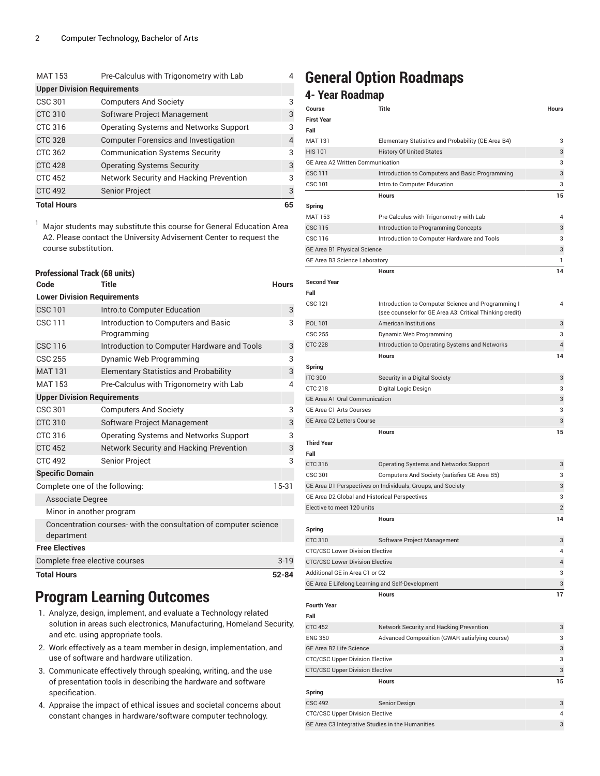| <b>Total Hours</b>                 |                                             | 65             |
|------------------------------------|---------------------------------------------|----------------|
| <b>CTC 492</b>                     | <b>Senior Project</b>                       | 3              |
| CTC 452                            | Network Security and Hacking Prevention     | 3              |
| <b>CTC 428</b>                     | <b>Operating Systems Security</b>           | 3              |
| CTC 362                            | <b>Communication Systems Security</b>       | 3              |
| <b>CTC 328</b>                     | <b>Computer Forensics and Investigation</b> | $\overline{4}$ |
| CTC 316                            | Operating Systems and Networks Support      | 3              |
| <b>CTC 310</b>                     | Software Project Management                 | 3              |
| CSC 301                            | <b>Computers And Society</b>                | 3              |
| <b>Upper Division Requirements</b> |                                             |                |
| <b>MAT 153</b>                     | Pre-Calculus with Trigonometry with Lab     | 4              |
|                                    |                                             |                |

 $1$  Major students may substitute this course for General Education Area A2. Please contact the University Advisement Center to request the course substitution.

#### **Professional Track (68 units)**

| Code                               | Title                                                            | <b>Hours</b> |
|------------------------------------|------------------------------------------------------------------|--------------|
| <b>Lower Division Requirements</b> |                                                                  |              |
| <b>CSC 101</b>                     | Intro.to Computer Education                                      | 3            |
| <b>CSC 111</b>                     | Introduction to Computers and Basic<br>Programming               | 3            |
| <b>CSC 116</b>                     | Introduction to Computer Hardware and Tools                      | 3            |
| <b>CSC 255</b>                     | Dynamic Web Programming                                          | 3            |
| <b>MAT 131</b>                     | <b>Elementary Statistics and Probability</b>                     | 3            |
| <b>MAT 153</b>                     | Pre-Calculus with Trigonometry with Lab                          | 4            |
| <b>Upper Division Requirements</b> |                                                                  |              |
| CSC 301                            | <b>Computers And Society</b>                                     | 3            |
| <b>CTC 310</b>                     | Software Project Management                                      | 3            |
| CTC 316                            | Operating Systems and Networks Support                           | 3            |
| <b>CTC 452</b>                     | Network Security and Hacking Prevention                          | 3            |
| <b>CTC 492</b>                     | Senior Project                                                   | 3            |
| <b>Specific Domain</b>             |                                                                  |              |
| Complete one of the following:     |                                                                  | 15-31        |
| <b>Associate Degree</b>            |                                                                  |              |
| Minor in another program           |                                                                  |              |
| department                         | Concentration courses- with the consultation of computer science |              |
| <b>Free Electives</b>              |                                                                  |              |
| Complete free elective courses     |                                                                  | $3-19$       |
| <b>Total Hours</b>                 |                                                                  | $52 - 84$    |

## **Program Learning Outcomes**

- 1. Analyze, design, implement, and evaluate a Technology related solution in areas such electronics, Manufacturing, Homeland Security, and etc. using appropriate tools.
- 2. Work effectively as a team member in design, implementation, and use of software and hardware utilization.
- 3. Communicate effectively through speaking, writing, and the use of presentation tools in describing the hardware and software specification.
- 4. Appraise the impact of ethical issues and societal concerns about constant changes in hardware/software computer technology.

## **General Option Roadmaps**

## **4- Year Roadmap**

| Course                                           | Title                                                       | Hours          |
|--------------------------------------------------|-------------------------------------------------------------|----------------|
| <b>First Year</b>                                |                                                             |                |
| Fall                                             |                                                             |                |
| <b>MAT 131</b>                                   | Elementary Statistics and Probability (GE Area B4)          | 3              |
| <b>HIS 101</b>                                   | <b>History Of United States</b>                             | 3              |
| GE Area A2 Written Communication                 |                                                             | 3              |
| <b>CSC 111</b>                                   | Introduction to Computers and Basic Programming             | 3              |
| CSC 101                                          | Intro.to Computer Education                                 | 3              |
|                                                  | <b>Hours</b>                                                | 15             |
| Spring                                           |                                                             |                |
| <b>MAT 153</b>                                   | Pre-Calculus with Trigonometry with Lab                     | 4              |
| <b>CSC 115</b>                                   | Introduction to Programming Concepts                        | 3              |
| CSC 116                                          | Introduction to Computer Hardware and Tools                 | 3              |
| GE Area B1 Physical Science                      |                                                             | 3              |
| GE Area B3 Science Laboratory                    |                                                             | 1              |
|                                                  | <b>Hours</b>                                                | 14             |
| <b>Second Year</b>                               |                                                             |                |
| Fall                                             |                                                             |                |
| <b>CSC 121</b>                                   | Introduction to Computer Science and Programming I          | 4              |
|                                                  | (see counselor for GE Area A3: Critical Thinking credit)    |                |
| POL 101                                          | American Institutions                                       | 3              |
| <b>CSC 255</b>                                   | Dynamic Web Programming                                     | 3              |
| <b>CTC 228</b>                                   | Introduction to Operating Systems and Networks              | 4              |
|                                                  | <b>Hours</b>                                                | 14             |
| Spring                                           |                                                             |                |
| <b>ITC 300</b>                                   | Security in a Digital Society                               | 3              |
| <b>CTC 218</b>                                   | Digital Logic Design                                        | 3              |
| GE Area A1 Oral Communication                    |                                                             | 3              |
| GE Area C1 Arts Courses                          |                                                             | 3              |
| <b>GE Area C2 Letters Course</b>                 |                                                             | 3              |
|                                                  | <b>Hours</b>                                                | 15             |
| <b>Third Year</b>                                |                                                             |                |
| Fall                                             |                                                             |                |
| CTC 316                                          | Operating Systems and Networks Support                      | 3              |
| <b>CSC 301</b>                                   | Computers And Society (satisfies GE Area B5)                | 3              |
|                                                  | GE Area D1 Perspectives on Individuals, Groups, and Society | 3              |
| GE Area D2 Global and Historical Perspectives    |                                                             | 3              |
| Elective to meet 120 units                       |                                                             | $\overline{2}$ |
|                                                  | <b>Hours</b>                                                | 14             |
| Spring                                           |                                                             |                |
| <b>CTC 310</b>                                   |                                                             | 3              |
| <b>CTC/CSC Lower Division Elective</b>           | Software Project Management                                 | 4              |
| <b>CTC/CSC Lower Division Elective</b>           |                                                             | 4              |
| Additional GE in Area C1 or C2                   |                                                             | 3              |
| GE Area E Lifelong Learning and Self-Development |                                                             | 3              |
|                                                  |                                                             |                |
|                                                  | <b>Hours</b>                                                | 17             |
| <b>Fourth Year</b><br>Fall                       |                                                             |                |
| <b>CTC 452</b>                                   |                                                             |                |
|                                                  | Network Security and Hacking Prevention                     | 3              |
| <b>ENG 350</b><br><b>GE Area B2 Life Science</b> | Advanced Composition (GWAR satisfying course)               | 3              |
|                                                  |                                                             | 3              |
| <b>CTC/CSC Upper Division Elective</b>           |                                                             | 3              |
| <b>CTC/CSC Upper Division Elective</b>           |                                                             | 3              |
|                                                  | <b>Hours</b>                                                | 15             |
| Spring                                           |                                                             |                |
| <b>CSC 492</b>                                   | Senior Design                                               | 3              |
| <b>CTC/CSC Upper Division Elective</b>           |                                                             | 4              |
| GE Area C3 Integrative Studies in the Humanities |                                                             | 3              |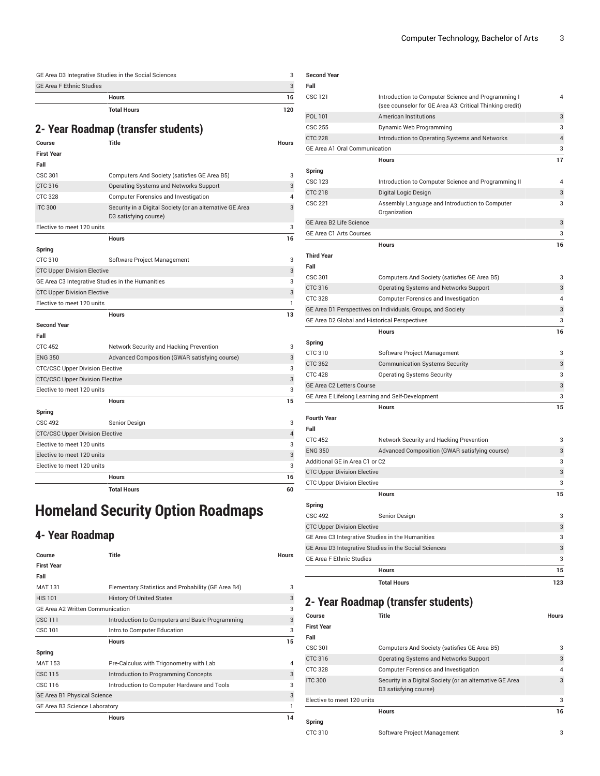| <b>Total Hours</b>                                    | 120 |
|-------------------------------------------------------|-----|
| <b>Hours</b>                                          | 16  |
| GE Area F Ethnic Studies                              |     |
| GE Area D3 Integrative Studies in the Social Sciences |     |

**Second Year**

### **2- Year Roadmap (transfer students)**

| Course<br><b>First Year</b>                      | Title                                                                             | <b>Hours</b> |
|--------------------------------------------------|-----------------------------------------------------------------------------------|--------------|
| Fall                                             |                                                                                   |              |
| <b>CSC 301</b>                                   | Computers And Society (satisfies GE Area B5)                                      | 3            |
| <b>CTC 316</b>                                   | Operating Systems and Networks Support                                            | 3            |
| <b>CTC 328</b>                                   | <b>Computer Forensics and Investigation</b>                                       | 4            |
| <b>ITC 300</b>                                   | Security in a Digital Society (or an alternative GE Area<br>D3 satisfying course) | 3            |
| Elective to meet 120 units                       |                                                                                   | 3            |
|                                                  | <b>Hours</b>                                                                      | 16           |
| Spring                                           |                                                                                   |              |
| CTC 310                                          | Software Project Management                                                       | 3            |
| <b>CTC Upper Division Elective</b>               |                                                                                   | 3            |
| GE Area C3 Integrative Studies in the Humanities |                                                                                   | 3            |
| <b>CTC Upper Division Elective</b>               |                                                                                   | 3            |
| Elective to meet 120 units                       |                                                                                   | 1            |
|                                                  | <b>Hours</b>                                                                      | 13           |
| <b>Second Year</b>                               |                                                                                   |              |
| Fall                                             |                                                                                   |              |
| <b>CTC 452</b>                                   | Network Security and Hacking Prevention                                           | 3            |
| <b>ENG 350</b>                                   | Advanced Composition (GWAR satisfying course)                                     | 3            |
| <b>CTC/CSC Upper Division Elective</b>           |                                                                                   | 3            |
| <b>CTC/CSC Upper Division Elective</b>           |                                                                                   | 3            |
| Elective to meet 120 units                       |                                                                                   | 3            |
|                                                  | <b>Hours</b>                                                                      | 15           |
| Spring                                           |                                                                                   |              |
| <b>CSC 492</b>                                   | Senior Design                                                                     | 3            |
| <b>CTC/CSC Upper Division Elective</b>           |                                                                                   | 4            |
| Elective to meet 120 units                       |                                                                                   | 3            |
| Elective to meet 120 units                       |                                                                                   | 3            |
| Elective to meet 120 units                       |                                                                                   | 3            |
|                                                  | <b>Hours</b>                                                                      | 16           |
|                                                  | <b>Total Hours</b>                                                                | 60           |

## **Homeland Security Option Roadmaps**

## **4- Year Roadmap**

| Course                           | Title                                              | <b>Hours</b>   |
|----------------------------------|----------------------------------------------------|----------------|
| <b>First Year</b>                |                                                    |                |
| Fall                             |                                                    |                |
| <b>MAT 131</b>                   | Elementary Statistics and Probability (GE Area B4) | 3              |
| <b>HIS 101</b>                   | <b>History Of United States</b>                    | 3              |
| GE Area A2 Written Communication |                                                    | 3              |
| <b>CSC 111</b>                   | Introduction to Computers and Basic Programming    | 3              |
| <b>CSC 101</b>                   | Intro.to Computer Education                        | 3              |
|                                  | <b>Hours</b>                                       | 15             |
| Spring                           |                                                    |                |
| MAT 153                          | Pre-Calculus with Trigonometry with Lab            | $\overline{4}$ |
| CSC 115                          | Introduction to Programming Concepts               | 3              |
| CSC 116                          | Introduction to Computer Hardware and Tools        | 3              |
| GE Area B1 Physical Science      |                                                    | 3              |
| GE Area B3 Science Laboratory    |                                                    |                |
|                                  | <b>Hours</b>                                       | 14             |

| <b>CSC 121</b><br>Introduction to Computer Science and Programming I<br>4<br>(see counselor for GE Area A3: Critical Thinking credit)<br>POL 101<br>American Institutions<br><b>CSC 255</b><br>Dynamic Web Programming<br><b>CTC 228</b><br>Introduction to Operating Systems and Networks<br>GE Area A1 Oral Communication<br><b>Hours</b><br>Spring<br><b>CSC 123</b><br>Introduction to Computer Science and Programming II<br><b>CTC 218</b><br>Digital Logic Design<br><b>CSC 221</b><br>Assembly Language and Introduction to Computer<br>Organization<br><b>GE Area B2 Life Science</b><br>GE Area C1 Arts Courses<br>Hours<br><b>Third Year</b><br>Fall<br><b>CSC 301</b><br>Computers And Society (satisfies GE Area B5)<br>3<br><b>CTC 316</b><br>Operating Systems and Networks Support<br>3<br><b>CTC 328</b><br><b>Computer Forensics and Investigation</b><br>$\overline{4}$<br>GE Area D1 Perspectives on Individuals, Groups, and Society<br>3<br>GE Area D2 Global and Historical Perspectives<br>3<br><b>Hours</b><br>16<br>Spring<br>CTC 310<br>Software Project Management<br><b>CTC 362</b><br><b>Communication Systems Security</b><br>3<br><b>CTC 428</b><br><b>Operating Systems Security</b><br>3<br><b>GE Area C2 Letters Course</b><br>GE Area E Lifelong Learning and Self-Development<br><b>Hours</b><br><b>Fourth Year</b><br>Fall<br><b>CTC 452</b><br>Network Security and Hacking Prevention<br><b>ENG 350</b><br>Advanced Composition (GWAR satisfying course)<br>Additional GE in Area C1 or C2<br><b>CTC Upper Division Elective</b><br><b>CTC Upper Division Elective</b><br><b>Hours</b><br>Spring<br><b>CSC 492</b><br>Senior Design<br><b>CTC Upper Division Elective</b><br>GE Area C3 Integrative Studies in the Humanities<br>GE Area D3 Integrative Studies in the Social Sciences<br><b>GE Area F Ethnic Studies</b><br><b>Hours</b> | Fall |                          |
|-----------------------------------------------------------------------------------------------------------------------------------------------------------------------------------------------------------------------------------------------------------------------------------------------------------------------------------------------------------------------------------------------------------------------------------------------------------------------------------------------------------------------------------------------------------------------------------------------------------------------------------------------------------------------------------------------------------------------------------------------------------------------------------------------------------------------------------------------------------------------------------------------------------------------------------------------------------------------------------------------------------------------------------------------------------------------------------------------------------------------------------------------------------------------------------------------------------------------------------------------------------------------------------------------------------------------------------------------------------------------------------------------------------------------------------------------------------------------------------------------------------------------------------------------------------------------------------------------------------------------------------------------------------------------------------------------------------------------------------------------------------------------------------------------------------------------------------------------------------------------------------|------|--------------------------|
|                                                                                                                                                                                                                                                                                                                                                                                                                                                                                                                                                                                                                                                                                                                                                                                                                                                                                                                                                                                                                                                                                                                                                                                                                                                                                                                                                                                                                                                                                                                                                                                                                                                                                                                                                                                                                                                                                   |      |                          |
|                                                                                                                                                                                                                                                                                                                                                                                                                                                                                                                                                                                                                                                                                                                                                                                                                                                                                                                                                                                                                                                                                                                                                                                                                                                                                                                                                                                                                                                                                                                                                                                                                                                                                                                                                                                                                                                                                   |      | 3                        |
|                                                                                                                                                                                                                                                                                                                                                                                                                                                                                                                                                                                                                                                                                                                                                                                                                                                                                                                                                                                                                                                                                                                                                                                                                                                                                                                                                                                                                                                                                                                                                                                                                                                                                                                                                                                                                                                                                   |      | 3                        |
|                                                                                                                                                                                                                                                                                                                                                                                                                                                                                                                                                                                                                                                                                                                                                                                                                                                                                                                                                                                                                                                                                                                                                                                                                                                                                                                                                                                                                                                                                                                                                                                                                                                                                                                                                                                                                                                                                   |      | $\overline{\mathcal{A}}$ |
|                                                                                                                                                                                                                                                                                                                                                                                                                                                                                                                                                                                                                                                                                                                                                                                                                                                                                                                                                                                                                                                                                                                                                                                                                                                                                                                                                                                                                                                                                                                                                                                                                                                                                                                                                                                                                                                                                   |      | 3                        |
|                                                                                                                                                                                                                                                                                                                                                                                                                                                                                                                                                                                                                                                                                                                                                                                                                                                                                                                                                                                                                                                                                                                                                                                                                                                                                                                                                                                                                                                                                                                                                                                                                                                                                                                                                                                                                                                                                   |      | 17                       |
|                                                                                                                                                                                                                                                                                                                                                                                                                                                                                                                                                                                                                                                                                                                                                                                                                                                                                                                                                                                                                                                                                                                                                                                                                                                                                                                                                                                                                                                                                                                                                                                                                                                                                                                                                                                                                                                                                   |      |                          |
|                                                                                                                                                                                                                                                                                                                                                                                                                                                                                                                                                                                                                                                                                                                                                                                                                                                                                                                                                                                                                                                                                                                                                                                                                                                                                                                                                                                                                                                                                                                                                                                                                                                                                                                                                                                                                                                                                   |      | 4                        |
|                                                                                                                                                                                                                                                                                                                                                                                                                                                                                                                                                                                                                                                                                                                                                                                                                                                                                                                                                                                                                                                                                                                                                                                                                                                                                                                                                                                                                                                                                                                                                                                                                                                                                                                                                                                                                                                                                   |      | 3                        |
|                                                                                                                                                                                                                                                                                                                                                                                                                                                                                                                                                                                                                                                                                                                                                                                                                                                                                                                                                                                                                                                                                                                                                                                                                                                                                                                                                                                                                                                                                                                                                                                                                                                                                                                                                                                                                                                                                   |      | 3                        |
|                                                                                                                                                                                                                                                                                                                                                                                                                                                                                                                                                                                                                                                                                                                                                                                                                                                                                                                                                                                                                                                                                                                                                                                                                                                                                                                                                                                                                                                                                                                                                                                                                                                                                                                                                                                                                                                                                   |      | 3                        |
|                                                                                                                                                                                                                                                                                                                                                                                                                                                                                                                                                                                                                                                                                                                                                                                                                                                                                                                                                                                                                                                                                                                                                                                                                                                                                                                                                                                                                                                                                                                                                                                                                                                                                                                                                                                                                                                                                   |      | 3                        |
|                                                                                                                                                                                                                                                                                                                                                                                                                                                                                                                                                                                                                                                                                                                                                                                                                                                                                                                                                                                                                                                                                                                                                                                                                                                                                                                                                                                                                                                                                                                                                                                                                                                                                                                                                                                                                                                                                   |      | 16                       |
|                                                                                                                                                                                                                                                                                                                                                                                                                                                                                                                                                                                                                                                                                                                                                                                                                                                                                                                                                                                                                                                                                                                                                                                                                                                                                                                                                                                                                                                                                                                                                                                                                                                                                                                                                                                                                                                                                   |      |                          |
|                                                                                                                                                                                                                                                                                                                                                                                                                                                                                                                                                                                                                                                                                                                                                                                                                                                                                                                                                                                                                                                                                                                                                                                                                                                                                                                                                                                                                                                                                                                                                                                                                                                                                                                                                                                                                                                                                   |      |                          |
|                                                                                                                                                                                                                                                                                                                                                                                                                                                                                                                                                                                                                                                                                                                                                                                                                                                                                                                                                                                                                                                                                                                                                                                                                                                                                                                                                                                                                                                                                                                                                                                                                                                                                                                                                                                                                                                                                   |      |                          |
|                                                                                                                                                                                                                                                                                                                                                                                                                                                                                                                                                                                                                                                                                                                                                                                                                                                                                                                                                                                                                                                                                                                                                                                                                                                                                                                                                                                                                                                                                                                                                                                                                                                                                                                                                                                                                                                                                   |      |                          |
|                                                                                                                                                                                                                                                                                                                                                                                                                                                                                                                                                                                                                                                                                                                                                                                                                                                                                                                                                                                                                                                                                                                                                                                                                                                                                                                                                                                                                                                                                                                                                                                                                                                                                                                                                                                                                                                                                   |      |                          |
|                                                                                                                                                                                                                                                                                                                                                                                                                                                                                                                                                                                                                                                                                                                                                                                                                                                                                                                                                                                                                                                                                                                                                                                                                                                                                                                                                                                                                                                                                                                                                                                                                                                                                                                                                                                                                                                                                   |      |                          |
|                                                                                                                                                                                                                                                                                                                                                                                                                                                                                                                                                                                                                                                                                                                                                                                                                                                                                                                                                                                                                                                                                                                                                                                                                                                                                                                                                                                                                                                                                                                                                                                                                                                                                                                                                                                                                                                                                   |      |                          |
|                                                                                                                                                                                                                                                                                                                                                                                                                                                                                                                                                                                                                                                                                                                                                                                                                                                                                                                                                                                                                                                                                                                                                                                                                                                                                                                                                                                                                                                                                                                                                                                                                                                                                                                                                                                                                                                                                   |      |                          |
|                                                                                                                                                                                                                                                                                                                                                                                                                                                                                                                                                                                                                                                                                                                                                                                                                                                                                                                                                                                                                                                                                                                                                                                                                                                                                                                                                                                                                                                                                                                                                                                                                                                                                                                                                                                                                                                                                   |      | 3                        |
|                                                                                                                                                                                                                                                                                                                                                                                                                                                                                                                                                                                                                                                                                                                                                                                                                                                                                                                                                                                                                                                                                                                                                                                                                                                                                                                                                                                                                                                                                                                                                                                                                                                                                                                                                                                                                                                                                   |      |                          |
|                                                                                                                                                                                                                                                                                                                                                                                                                                                                                                                                                                                                                                                                                                                                                                                                                                                                                                                                                                                                                                                                                                                                                                                                                                                                                                                                                                                                                                                                                                                                                                                                                                                                                                                                                                                                                                                                                   |      |                          |
|                                                                                                                                                                                                                                                                                                                                                                                                                                                                                                                                                                                                                                                                                                                                                                                                                                                                                                                                                                                                                                                                                                                                                                                                                                                                                                                                                                                                                                                                                                                                                                                                                                                                                                                                                                                                                                                                                   |      | 3                        |
|                                                                                                                                                                                                                                                                                                                                                                                                                                                                                                                                                                                                                                                                                                                                                                                                                                                                                                                                                                                                                                                                                                                                                                                                                                                                                                                                                                                                                                                                                                                                                                                                                                                                                                                                                                                                                                                                                   |      | 3                        |
|                                                                                                                                                                                                                                                                                                                                                                                                                                                                                                                                                                                                                                                                                                                                                                                                                                                                                                                                                                                                                                                                                                                                                                                                                                                                                                                                                                                                                                                                                                                                                                                                                                                                                                                                                                                                                                                                                   |      | 15                       |
|                                                                                                                                                                                                                                                                                                                                                                                                                                                                                                                                                                                                                                                                                                                                                                                                                                                                                                                                                                                                                                                                                                                                                                                                                                                                                                                                                                                                                                                                                                                                                                                                                                                                                                                                                                                                                                                                                   |      |                          |
|                                                                                                                                                                                                                                                                                                                                                                                                                                                                                                                                                                                                                                                                                                                                                                                                                                                                                                                                                                                                                                                                                                                                                                                                                                                                                                                                                                                                                                                                                                                                                                                                                                                                                                                                                                                                                                                                                   |      | 3                        |
|                                                                                                                                                                                                                                                                                                                                                                                                                                                                                                                                                                                                                                                                                                                                                                                                                                                                                                                                                                                                                                                                                                                                                                                                                                                                                                                                                                                                                                                                                                                                                                                                                                                                                                                                                                                                                                                                                   |      | 3                        |
|                                                                                                                                                                                                                                                                                                                                                                                                                                                                                                                                                                                                                                                                                                                                                                                                                                                                                                                                                                                                                                                                                                                                                                                                                                                                                                                                                                                                                                                                                                                                                                                                                                                                                                                                                                                                                                                                                   |      | 3                        |
|                                                                                                                                                                                                                                                                                                                                                                                                                                                                                                                                                                                                                                                                                                                                                                                                                                                                                                                                                                                                                                                                                                                                                                                                                                                                                                                                                                                                                                                                                                                                                                                                                                                                                                                                                                                                                                                                                   |      | 3                        |
|                                                                                                                                                                                                                                                                                                                                                                                                                                                                                                                                                                                                                                                                                                                                                                                                                                                                                                                                                                                                                                                                                                                                                                                                                                                                                                                                                                                                                                                                                                                                                                                                                                                                                                                                                                                                                                                                                   |      | 3                        |
|                                                                                                                                                                                                                                                                                                                                                                                                                                                                                                                                                                                                                                                                                                                                                                                                                                                                                                                                                                                                                                                                                                                                                                                                                                                                                                                                                                                                                                                                                                                                                                                                                                                                                                                                                                                                                                                                                   |      | 15                       |
|                                                                                                                                                                                                                                                                                                                                                                                                                                                                                                                                                                                                                                                                                                                                                                                                                                                                                                                                                                                                                                                                                                                                                                                                                                                                                                                                                                                                                                                                                                                                                                                                                                                                                                                                                                                                                                                                                   |      |                          |
|                                                                                                                                                                                                                                                                                                                                                                                                                                                                                                                                                                                                                                                                                                                                                                                                                                                                                                                                                                                                                                                                                                                                                                                                                                                                                                                                                                                                                                                                                                                                                                                                                                                                                                                                                                                                                                                                                   |      | 3                        |
|                                                                                                                                                                                                                                                                                                                                                                                                                                                                                                                                                                                                                                                                                                                                                                                                                                                                                                                                                                                                                                                                                                                                                                                                                                                                                                                                                                                                                                                                                                                                                                                                                                                                                                                                                                                                                                                                                   |      | 3                        |
|                                                                                                                                                                                                                                                                                                                                                                                                                                                                                                                                                                                                                                                                                                                                                                                                                                                                                                                                                                                                                                                                                                                                                                                                                                                                                                                                                                                                                                                                                                                                                                                                                                                                                                                                                                                                                                                                                   |      | 3                        |
|                                                                                                                                                                                                                                                                                                                                                                                                                                                                                                                                                                                                                                                                                                                                                                                                                                                                                                                                                                                                                                                                                                                                                                                                                                                                                                                                                                                                                                                                                                                                                                                                                                                                                                                                                                                                                                                                                   |      | 3                        |
|                                                                                                                                                                                                                                                                                                                                                                                                                                                                                                                                                                                                                                                                                                                                                                                                                                                                                                                                                                                                                                                                                                                                                                                                                                                                                                                                                                                                                                                                                                                                                                                                                                                                                                                                                                                                                                                                                   |      | 3                        |
|                                                                                                                                                                                                                                                                                                                                                                                                                                                                                                                                                                                                                                                                                                                                                                                                                                                                                                                                                                                                                                                                                                                                                                                                                                                                                                                                                                                                                                                                                                                                                                                                                                                                                                                                                                                                                                                                                   |      | 15                       |

### **Total Hours 123**

#### **2- Year Roadmap (transfer students) Course Title Hours First Year Fall** CSC 301 Computers And Society (satisfies GE Area B5) 3 CTC 316 Operating Systems and Networks Support 3 CTC 328 Computer Forensics and Investigation 4 ITC 300 Security in a Digital Society (or an alternative GE Area D3 satisfying course) 3 Elective to meet 120 units 3 **Hours 16 Spring**

CTC 310 Software Project Management 3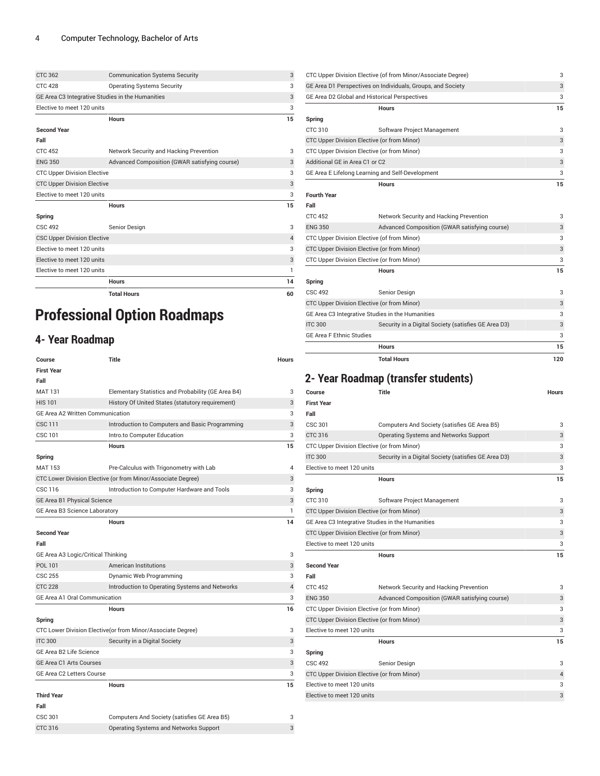| <b>CTC 362</b>             | <b>Communication Systems Security</b>            |    |
|----------------------------|--------------------------------------------------|----|
| CTC 428                    | <b>Operating Systems Security</b>                |    |
|                            | GE Area C3 Integrative Studies in the Humanities | 3  |
| Elective to meet 120 units |                                                  | 3  |
|                            | <b>Hours</b>                                     | 15 |
| <b>Second Year</b>         |                                                  |    |

|                                    | <b>Total Hours</b>                            | 60             |
|------------------------------------|-----------------------------------------------|----------------|
|                                    | <b>Hours</b>                                  | 14             |
| Elective to meet 120 units         |                                               | 1              |
| Elective to meet 120 units         |                                               | 3              |
| Elective to meet 120 units         |                                               | 3              |
| <b>CSC Upper Division Elective</b> |                                               | $\overline{4}$ |
| <b>CSC 492</b>                     | Senior Design                                 | 3              |
| Spring                             |                                               |                |
|                                    | <b>Hours</b>                                  | 15             |
| Elective to meet 120 units         |                                               | 3              |
| <b>CTC Upper Division Elective</b> |                                               | 3              |
| <b>CTC Upper Division Elective</b> |                                               | 3              |
| <b>ENG 350</b>                     | Advanced Composition (GWAR satisfying course) | 3              |
| CTC 452                            | Network Security and Hacking Prevention       | 3              |
| Fall                               |                                               |                |

## **Professional Option Roadmaps**

### **4- Year Roadmap**

| Course                               | Title                                                        | <b>Hours</b>   |
|--------------------------------------|--------------------------------------------------------------|----------------|
| <b>First Year</b>                    |                                                              |                |
| Fall                                 |                                                              |                |
| <b>MAT 131</b>                       | Elementary Statistics and Probability (GE Area B4)           | 3              |
| <b>HIS 101</b>                       | History Of United States (statutory requirement)             | 3              |
| GE Area A2 Written Communication     |                                                              | 3              |
| CSC 111                              | Introduction to Computers and Basic Programming              | 3              |
| CSC 101                              | Intro.to Computer Education                                  | 3              |
|                                      | <b>Hours</b>                                                 | 15             |
| Spring                               |                                                              |                |
| MAT 153                              | Pre-Calculus with Trigonometry with Lab                      | 4              |
|                                      | CTC Lower Division Elective (or from Minor/Associate Degree) | 3              |
| <b>CSC 116</b>                       | Introduction to Computer Hardware and Tools                  | 3              |
| GE Area B1 Physical Science          |                                                              | 3              |
| GE Area B3 Science Laboratory        |                                                              | 1              |
|                                      | <b>Hours</b>                                                 | 14             |
| <b>Second Year</b>                   |                                                              |                |
| Fall                                 |                                                              |                |
| GE Area A3 Logic/Critical Thinking   |                                                              | 3              |
| POL 101                              | American Institutions                                        | 3              |
| <b>CSC 255</b>                       | Dynamic Web Programming                                      | 3              |
| <b>CTC 228</b>                       | Introduction to Operating Systems and Networks               | $\overline{4}$ |
| <b>GE Area A1 Oral Communication</b> |                                                              | 3              |
|                                      | <b>Hours</b>                                                 | 16             |
| Spring                               |                                                              |                |
|                                      | CTC Lower Division Elective(or from Minor/Associate Degree)  | 3              |
| <b>ITC 300</b>                       | Security in a Digital Society                                | 3              |
| GE Area B2 Life Science              |                                                              | 3              |
| GE Area C1 Arts Courses              |                                                              | 3              |
| GE Area C2 Letters Course            |                                                              | 3              |
|                                      | <b>Hours</b>                                                 | 15             |
| <b>Third Year</b>                    |                                                              |                |
| Fall                                 |                                                              |                |
| CSC 301                              | Computers And Society (satisfies GE Area B5)                 | 3              |
| CTC 316                              | Operating Systems and Networks Support                       | 3              |

|                                                              | <b>Total Hours</b>                                          | 120    |
|--------------------------------------------------------------|-------------------------------------------------------------|--------|
|                                                              | <b>Hours</b>                                                | 15     |
| <b>GE Area F Ethnic Studies</b>                              |                                                             | 3      |
| <b>ITC 300</b>                                               | Security in a Digital Society (satisfies GE Area D3)        | 3      |
| GE Area C3 Integrative Studies in the Humanities             |                                                             | 3      |
|                                                              | CTC Upper Division Elective (or from Minor)                 | 3      |
| <b>CSC 492</b>                                               | Senior Design                                               | 3      |
| Spring                                                       | <b>Hours</b>                                                | 15     |
| CTC Upper Division Elective (or from Minor)                  |                                                             |        |
| CTC Upper Division Elective (or from Minor)                  |                                                             | 3<br>3 |
| CTC Upper Division Elective (of from Minor)                  |                                                             |        |
| <b>ENG 350</b>                                               | Advanced Composition (GWAR satisfying course)               | 3      |
| CTC 452                                                      | Network Security and Hacking Prevention                     | 3      |
| Fall                                                         |                                                             |        |
| <b>Fourth Year</b>                                           |                                                             |        |
|                                                              | <b>Hours</b>                                                | 15     |
|                                                              | GE Area E Lifelong Learning and Self-Development            | 3      |
| Additional GE in Area C1 or C2                               |                                                             | 3      |
| CTC Upper Division Elective (or from Minor)                  |                                                             |        |
| CTC Upper Division Elective (or from Minor)                  |                                                             |        |
| Spring<br>CTC 310                                            | Software Project Management                                 | 3      |
|                                                              | <b>Hours</b>                                                | 15     |
|                                                              | GE Area D2 Global and Historical Perspectives               | 3      |
|                                                              | GE Area D1 Perspectives on Individuals, Groups, and Society | 3      |
| CTC Upper Division Elective (of from Minor/Associate Degree) |                                                             | 3      |
|                                                              |                                                             |        |

### **2- Year Roadmap (transfer students)**

| Course                                           | <b>Title</b>                                         | <b>Hours</b>   |  |  |
|--------------------------------------------------|------------------------------------------------------|----------------|--|--|
| <b>First Year</b>                                |                                                      |                |  |  |
| Fall                                             |                                                      |                |  |  |
| CSC 301                                          | Computers And Society (satisfies GE Area B5)         | 3              |  |  |
| <b>CTC 316</b>                                   | Operating Systems and Networks Support               | 3              |  |  |
| CTC Upper Division Elective (or from Minor)      | 3                                                    |                |  |  |
| <b>ITC 300</b>                                   | Security in a Digital Society (satisfies GE Area D3) | 3              |  |  |
| Elective to meet 120 units<br>3                  |                                                      |                |  |  |
|                                                  | <b>Hours</b>                                         | 15             |  |  |
| Spring                                           |                                                      |                |  |  |
| CTC 310                                          | Software Project Management                          | 3              |  |  |
| CTC Upper Division Elective (or from Minor)      |                                                      |                |  |  |
| GE Area C3 Integrative Studies in the Humanities |                                                      |                |  |  |
| CTC Upper Division Elective (or from Minor)      |                                                      |                |  |  |
| Elective to meet 120 units                       |                                                      | 3              |  |  |
|                                                  |                                                      |                |  |  |
|                                                  | <b>Hours</b>                                         | 15             |  |  |
| <b>Second Year</b>                               |                                                      |                |  |  |
| Fall                                             |                                                      |                |  |  |
| <b>CTC 452</b>                                   | Network Security and Hacking Prevention              | 3              |  |  |
| <b>ENG 350</b>                                   | Advanced Composition (GWAR satisfying course)        | 3              |  |  |
| CTC Upper Division Elective (or from Minor)      |                                                      | 3              |  |  |
| CTC Upper Division Elective (or from Minor)      |                                                      | 3              |  |  |
| Elective to meet 120 units                       |                                                      | 3              |  |  |
|                                                  | <b>Hours</b>                                         | 15             |  |  |
| Spring                                           |                                                      |                |  |  |
| <b>CSC 492</b>                                   | Senior Design                                        | 3              |  |  |
| CTC Upper Division Elective (or from Minor)      |                                                      | $\overline{4}$ |  |  |
| Elective to meet 120 units                       |                                                      | 3              |  |  |
| Elective to meet 120 units                       |                                                      | 3              |  |  |